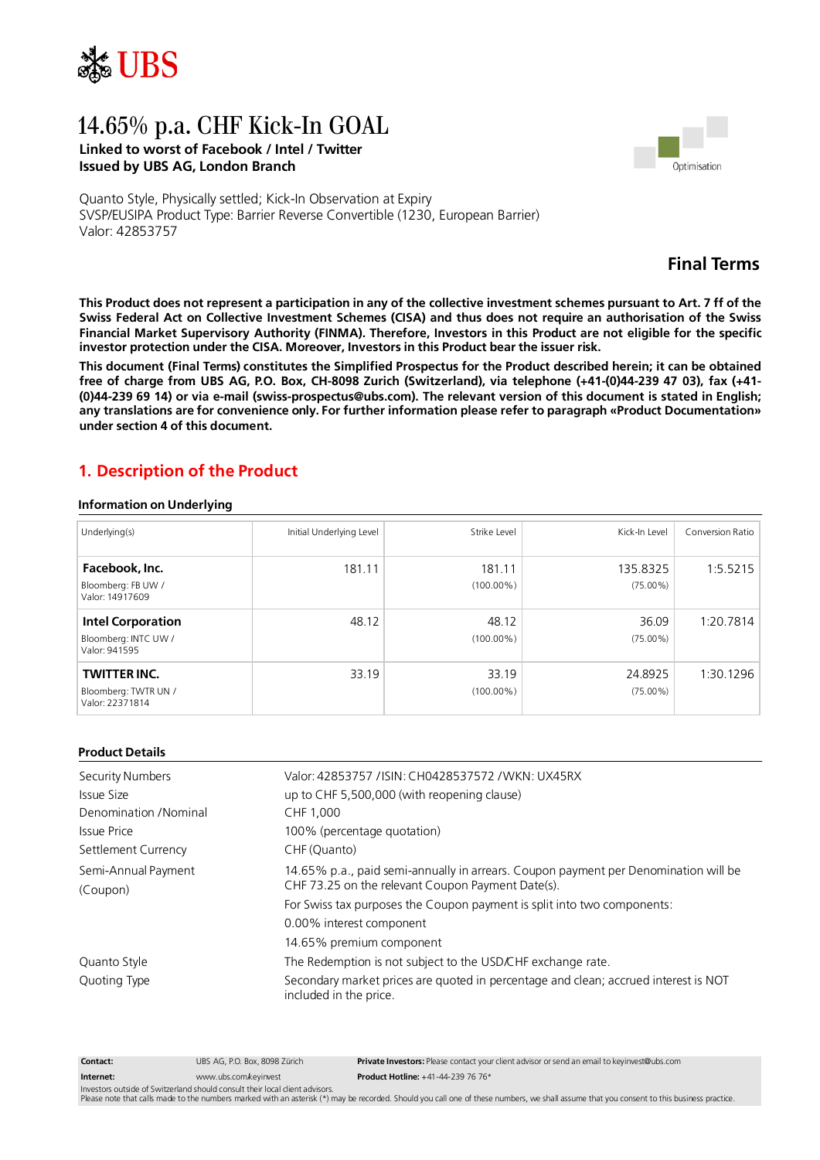

# 14.65% p.a. CHF Kick-In GOAL **Linked to worst of Facebook / Intel / Twitter Issued by UBS AG, London Branch**



Quanto Style, Physically settled; Kick-In Observation at Expiry SVSP/EUSIPA Product Type: Barrier Reverse Convertible (1230, European Barrier) Valor: 42853757

## **Final Terms**

This Product does not represent a participation in any of the collective investment schemes pursuant to Art. 7 ff of the Swiss Federal Act on Collective Investment Schemes (CISA) and thus does not require an authorisation of the Swiss Financial Market Supervisory Authority (FINMA). Therefore, Investors in this Product are not eligible for the specific **investor protection under the CISA. Moreover, Investors in this Product bear the issuer risk.**

This document (Final Terms) constitutes the Simplified Prospectus for the Product described herein; it can be obtained free of charge from UBS AG, P.O. Box, CH-8098 Zurich (Switzerland), via telephone (+41-(0)44-239 47 03), fax (+41-(0)44-239 69 14) or via e-mail (swiss-prospectus@ubs.com). The relevant version of this document is stated in English; **any translations are for convenience only. For further information please refer to paragraph «Product Documentation» under section 4 of this document.**

## **1. Description of the Product**

#### **Information on Underlying**

| Underlying(s)                                                     | Initial Underlying Level | Strike Level           | Kick-In Level           | Conversion Ratio |
|-------------------------------------------------------------------|--------------------------|------------------------|-------------------------|------------------|
| Facebook, Inc.<br>Bloomberg: FB UW /<br>Valor: 14917609           | 181.11                   | 181.11<br>$(100.00\%)$ | 135.8325<br>$(75.00\%)$ | 1:5.5215         |
| <b>Intel Corporation</b><br>Bloomberg: INTC UW /<br>Valor: 941595 | 48.12                    | 48.12<br>$(100.00\%)$  | 36.09<br>$(75.00\%)$    | 1:20.7814        |
| <b>TWITTER INC.</b><br>Bloomberg: TWTR UN /<br>Valor: 22371814    | 33.19                    | 33.19<br>$(100.00\%)$  | 24.8925<br>$(75.00\%)$  | 1:30.1296        |

#### **Product Details**

| Security Numbers      | Valor: 42853757 / ISIN: CH0428537572 / WKN: UX45RX                                                            |  |
|-----------------------|---------------------------------------------------------------------------------------------------------------|--|
| Issue Size            | up to CHF 5,500,000 (with reopening clause)                                                                   |  |
| Denomination /Nominal | CHF 1.000                                                                                                     |  |
| Issue Price           | 100% (percentage quotation)                                                                                   |  |
| Settlement Currency   | CHF (Quanto)                                                                                                  |  |
| Semi-Annual Payment   | 14.65% p.a., paid semi-annually in arrears. Coupon payment per Denomination will be                           |  |
| (Coupon)              | CHF 73.25 on the relevant Coupon Payment Date(s).                                                             |  |
|                       | For Swiss tax purposes the Coupon payment is split into two components:                                       |  |
|                       | 0.00% interest component                                                                                      |  |
|                       | 14.65% premium component                                                                                      |  |
| Quanto Style          | The Redemption is not subject to the USD/CHF exchange rate.                                                   |  |
| Quoting Type          | Secondary market prices are quoted in percentage and clean; accrued interest is NOT<br>included in the price. |  |

**Contact: Internet:** UBS AG, P.O. Box, 8098 Zürich [www.ubs.com/keyinvest](http://www.ubs.com/keyinvest) **Private Investors:** Please contact your client advisor or send an email to [keyinvest@ubs.com](mailto:keyinvest@ubs.com) **Product Hotline:** +41-44-239 76 76\*

Investors outside of Switzerland should consult their local client advisors.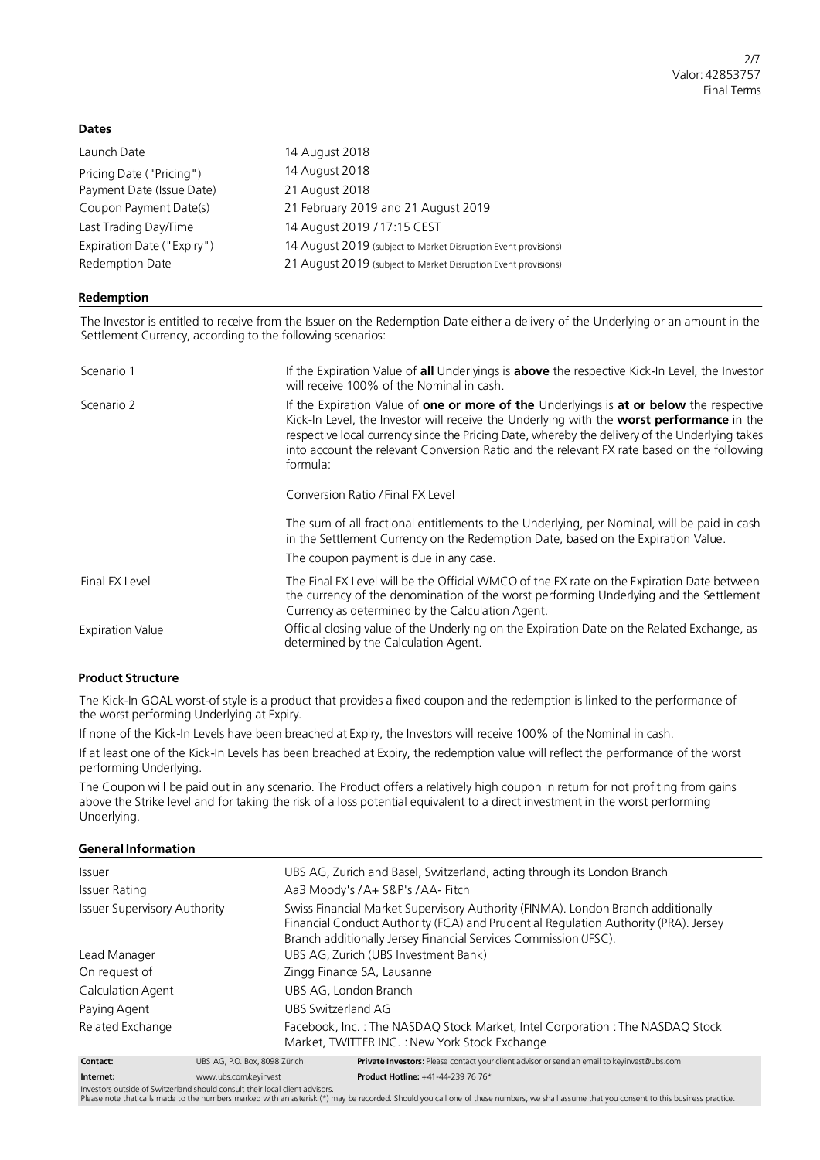#### **Dates**

| Launch Date                | 14 August 2018                                                 |
|----------------------------|----------------------------------------------------------------|
| Pricing Date ("Pricing")   | 14 August 2018                                                 |
| Payment Date (Issue Date)  | 21 August 2018                                                 |
| Coupon Payment Date(s)     | 21 February 2019 and 21 August 2019                            |
| Last Trading Day/Time      | 14 August 2019 / 17:15 CEST                                    |
| Expiration Date ("Expiry") | 14 August 2019 (subject to Market Disruption Event provisions) |
| Redemption Date            | 21 August 2019 (subject to Market Disruption Event provisions) |

#### **Redemption**

The Investor is entitled to receive from the Issuer on the Redemption Date either a delivery of the Underlying or an amount in the Settlement Currency, according to the following scenarios:

| Scenario 1              | If the Expiration Value of all Underlyings is above the respective Kick-In Level, the Investor<br>will receive 100% of the Nominal in cash.                                                                                                                                                                                                                                                             |  |
|-------------------------|---------------------------------------------------------------------------------------------------------------------------------------------------------------------------------------------------------------------------------------------------------------------------------------------------------------------------------------------------------------------------------------------------------|--|
| Scenario 2              | If the Expiration Value of one or more of the Underlyings is at or below the respective<br>Kick-In Level, the Investor will receive the Underlying with the <b>worst performance</b> in the<br>respective local currency since the Pricing Date, whereby the delivery of the Underlying takes<br>into account the relevant Conversion Ratio and the relevant FX rate based on the following<br>formula: |  |
|                         | Conversion Ratio / Final FX Level                                                                                                                                                                                                                                                                                                                                                                       |  |
|                         | The sum of all fractional entitlements to the Underlying, per Nominal, will be paid in cash<br>in the Settlement Currency on the Redemption Date, based on the Expiration Value.<br>The coupon payment is due in any case.                                                                                                                                                                              |  |
|                         |                                                                                                                                                                                                                                                                                                                                                                                                         |  |
| Final FX Level          | The Final FX Level will be the Official WMCO of the FX rate on the Expiration Date between<br>the currency of the denomination of the worst performing Underlying and the Settlement<br>Currency as determined by the Calculation Agent.                                                                                                                                                                |  |
| <b>Expiration Value</b> | Official closing value of the Underlying on the Expiration Date on the Related Exchange, as<br>determined by the Calculation Agent.                                                                                                                                                                                                                                                                     |  |

#### **Product Structure**

The Kick-In GOAL worst-of style is a product that provides a fixed coupon and the redemption is linked to the performance of the worst performing Underlying at Expiry.

If none of the Kick-In Levels have been breached at Expiry, the Investors will receive 100% of the Nominal in cash.

If at least one of the Kick-In Levels has been breached at Expiry, the redemption value will reflect the performance of the worst performing Underlying.

The Coupon will be paid out in any scenario. The Product offers a relatively high coupon in return for not profiting from gains above the Strike level and for taking the risk of a loss potential equivalent to a direct investment in the worst performing Underlying.

#### **General Information**

| <i>Issuer</i>                       |                               | UBS AG, Zurich and Basel, Switzerland, acting through its London Branch                                                                                                                                                                     |  |
|-------------------------------------|-------------------------------|---------------------------------------------------------------------------------------------------------------------------------------------------------------------------------------------------------------------------------------------|--|
| Issuer Rating                       |                               | Aa3 Moody's /A+ S&P's /AA- Fitch                                                                                                                                                                                                            |  |
| <b>Issuer Supervisory Authority</b> |                               | Swiss Financial Market Supervisory Authority (FINMA). London Branch additionally<br>Financial Conduct Authority (FCA) and Prudential Regulation Authority (PRA). Jersey<br>Branch additionally Jersey Financial Services Commission (JFSC). |  |
| Lead Manager                        |                               | UBS AG, Zurich (UBS Investment Bank)                                                                                                                                                                                                        |  |
| On request of                       |                               | Zingg Finance SA, Lausanne                                                                                                                                                                                                                  |  |
| Calculation Agent                   |                               | UBS AG, London Branch                                                                                                                                                                                                                       |  |
| Paying Agent                        | UBS Switzerland AG            |                                                                                                                                                                                                                                             |  |
| Related Exchange                    |                               | Facebook, Inc.: The NASDAQ Stock Market, Intel Corporation: The NASDAQ Stock<br>Market, TWITTER INC.: New York Stock Exchange                                                                                                               |  |
| Contact:                            | UBS AG, P.O. Box, 8098 Zürich | Private Investors: Please contact your client advisor or send an email to keyinvest@ubs.com                                                                                                                                                 |  |
| Internet:                           | www.ubs.com/kevinvest         | <b>Product Hotline:</b> $+41-44-239$ 76 76*                                                                                                                                                                                                 |  |

**Internet:** [www.ubs.com/keyinvest](http://www.ubs.com/keyinvest)

Investors outside of Switzerland should consult their local client advisors.<br>Please note that calls made to the numbers marked with an asterisk (\*) may be recorded. Should you call one of these numbers, we shall assume tha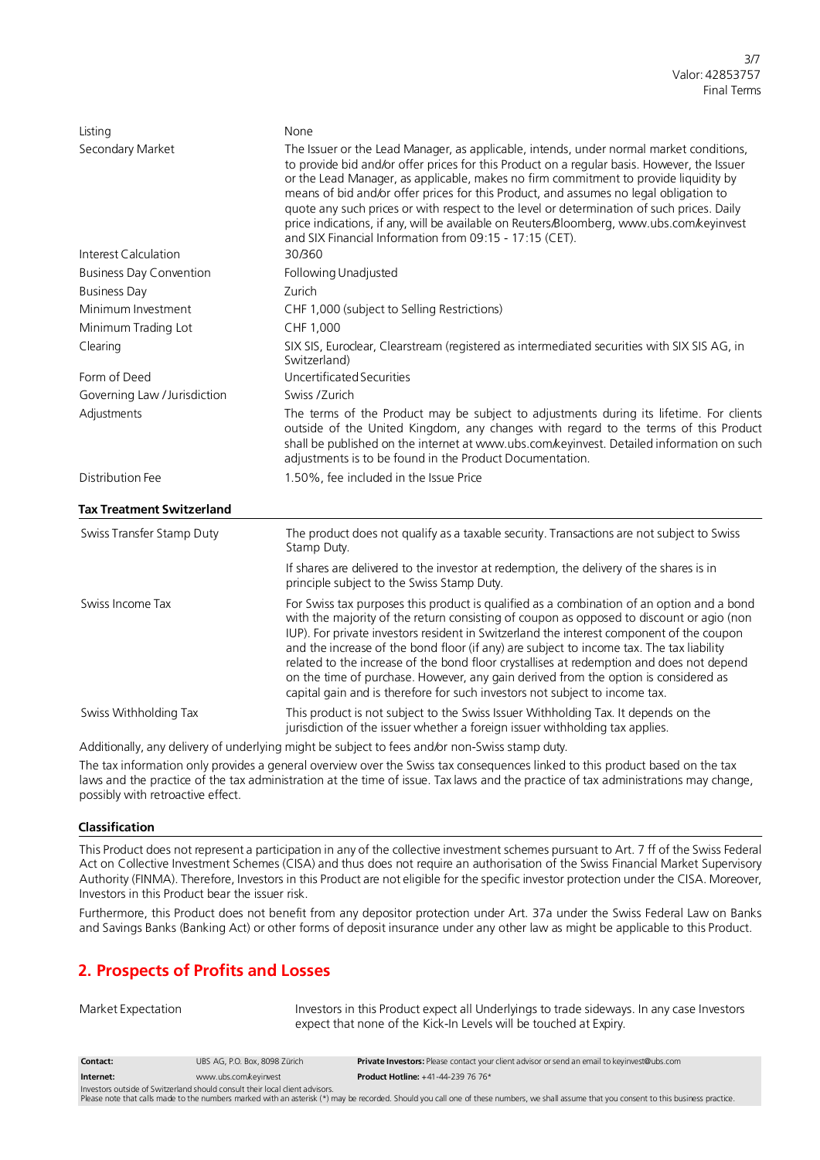| Listing                          | None                                                                                                                                                                                                                                                                                                                                                                                                                                                                                                                                                                                                                                            |  |
|----------------------------------|-------------------------------------------------------------------------------------------------------------------------------------------------------------------------------------------------------------------------------------------------------------------------------------------------------------------------------------------------------------------------------------------------------------------------------------------------------------------------------------------------------------------------------------------------------------------------------------------------------------------------------------------------|--|
| Secondary Market                 | The Issuer or the Lead Manager, as applicable, intends, under normal market conditions,<br>to provide bid and/or offer prices for this Product on a regular basis. However, the Issuer<br>or the Lead Manager, as applicable, makes no firm commitment to provide liquidity by<br>means of bid and/or offer prices for this Product, and assumes no legal obligation to<br>quote any such prices or with respect to the level or determination of such prices. Daily<br>price indications, if any, will be available on Reuters/Bloomberg, www.ubs.com/keyinvest<br>and SIX Financial Information from 09:15 - 17:15 (CET).                     |  |
| Interest Calculation             | 30/360                                                                                                                                                                                                                                                                                                                                                                                                                                                                                                                                                                                                                                          |  |
| <b>Business Day Convention</b>   | Following Unadjusted                                                                                                                                                                                                                                                                                                                                                                                                                                                                                                                                                                                                                            |  |
| <b>Business Day</b>              | Zurich                                                                                                                                                                                                                                                                                                                                                                                                                                                                                                                                                                                                                                          |  |
| Minimum Investment               | CHF 1,000 (subject to Selling Restrictions)                                                                                                                                                                                                                                                                                                                                                                                                                                                                                                                                                                                                     |  |
| Minimum Trading Lot              | CHF 1,000                                                                                                                                                                                                                                                                                                                                                                                                                                                                                                                                                                                                                                       |  |
| Clearing                         | SIX SIS, Euroclear, Clearstream (registered as intermediated securities with SIX SIS AG, in<br>Switzerland)                                                                                                                                                                                                                                                                                                                                                                                                                                                                                                                                     |  |
| Form of Deed                     | Uncertificated Securities                                                                                                                                                                                                                                                                                                                                                                                                                                                                                                                                                                                                                       |  |
| Governing Law / Jurisdiction     | Swiss /Zurich                                                                                                                                                                                                                                                                                                                                                                                                                                                                                                                                                                                                                                   |  |
| Adjustments                      | The terms of the Product may be subject to adjustments during its lifetime. For clients<br>outside of the United Kingdom, any changes with regard to the terms of this Product<br>shall be published on the internet at www.ubs.com/keyinvest. Detailed information on such<br>adjustments is to be found in the Product Documentation.                                                                                                                                                                                                                                                                                                         |  |
| Distribution Fee                 | 1.50%, fee included in the Issue Price                                                                                                                                                                                                                                                                                                                                                                                                                                                                                                                                                                                                          |  |
| <b>Tax Treatment Switzerland</b> |                                                                                                                                                                                                                                                                                                                                                                                                                                                                                                                                                                                                                                                 |  |
| Swiss Transfer Stamp Duty        | The product does not qualify as a taxable security. Transactions are not subject to Swiss<br>Stamp Duty.                                                                                                                                                                                                                                                                                                                                                                                                                                                                                                                                        |  |
|                                  | If shares are delivered to the investor at redemption, the delivery of the shares is in<br>principle subject to the Swiss Stamp Duty.                                                                                                                                                                                                                                                                                                                                                                                                                                                                                                           |  |
| Swiss Income Tax                 | For Swiss tax purposes this product is qualified as a combination of an option and a bond<br>with the majority of the return consisting of coupon as opposed to discount or agio (non<br>IUP). For private investors resident in Switzerland the interest component of the coupon<br>and the increase of the bond floor (if any) are subject to income tax. The tax liability<br>related to the increase of the bond floor crystallises at redemption and does not depend<br>on the time of purchase. However, any gain derived from the option is considered as<br>capital gain and is therefore for such investors not subject to income tax. |  |
| Swiss Withholding Tax            | This product is not subject to the Swiss Issuer Withholding Tax. It depends on the<br>jurisdiction of the issuer whether a foreign issuer withholding tax applies.                                                                                                                                                                                                                                                                                                                                                                                                                                                                              |  |

Additionally, any delivery of underlying might be subject to fees and/or non-Swiss stamp duty.

The tax information only provides a general overview over the Swiss tax consequences linked to this product based on the tax laws and the practice of the tax administration at the time of issue. Tax laws and the practice of tax administrations may change, possibly with retroactive effect.

## **Classification**

This Product does not represent a participation in any of the collective investment schemes pursuant to Art. 7 ff of the Swiss Federal Act on Collective Investment Schemes (CISA) and thus does not require an authorisation of the Swiss Financial Market Supervisory Authority (FINMA). Therefore, Investors in this Product are not eligible for the specific investor protection under the CISA. Moreover, Investors in this Product bear the issuer risk.

Furthermore, this Product does not benefit from any depositor protection under Art. 37a under the Swiss Federal Law on Banks and Savings Banks (Banking Act) or other forms of deposit insurance under any other law as might be applicable to this Product.

## **2. Prospects of Profits and Losses**

Investors in this Product expect all Underlyings to trade sideways. In any case Investors expect that none of the Kick-In Levels will be touched at Expiry.

| Contact:  | UBS AG. P.O. Box. 8098 Zürich | <b>Private Investors:</b> Please contact your client advisor or send an email to keyinvest@ubs.com |
|-----------|-------------------------------|----------------------------------------------------------------------------------------------------|
| Internet: | www.ubs.com.keyinvest         | <b>Product Hotline: +41-44-239 76 76*</b>                                                          |
|           |                               |                                                                                                    |

Investors outside of Switzerland should consult their local client advisors.<br>Please note that calls made to the numbers marked with an asterisk (\*) may be recorded. Should you call one of these numbers, we shall assume tha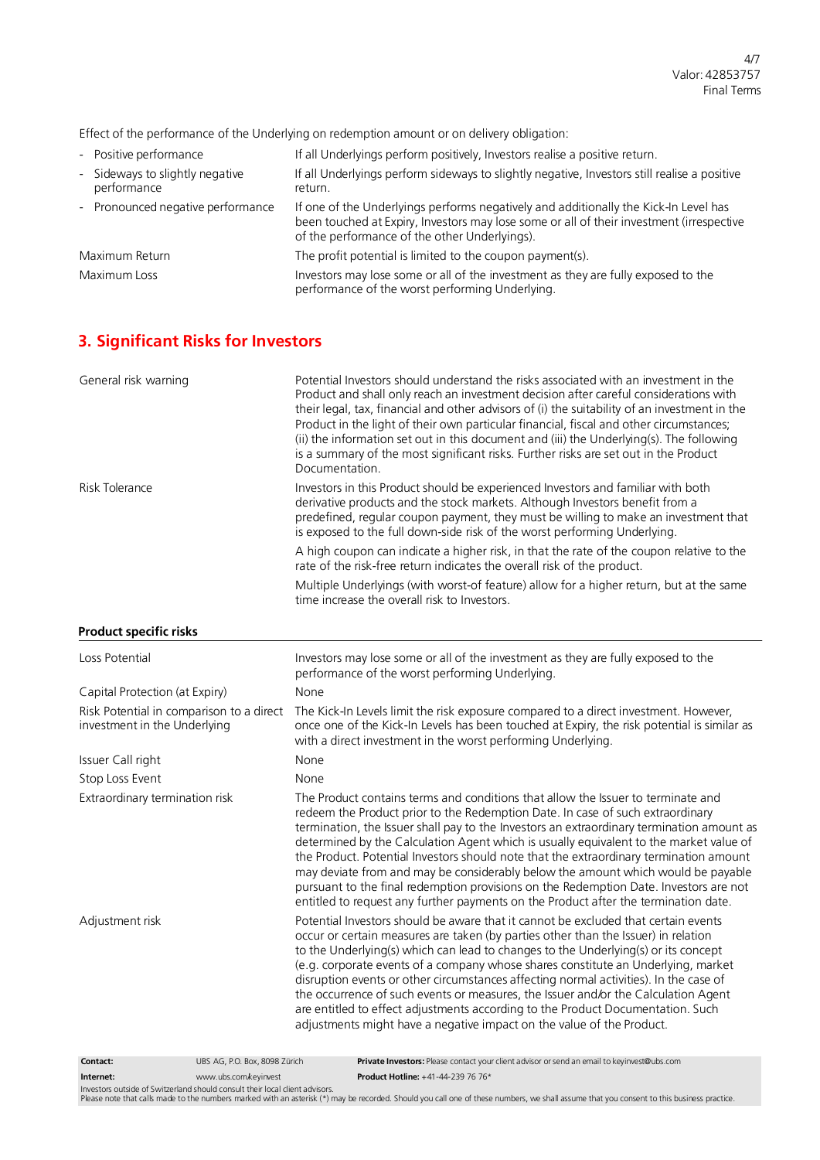Effect of the performance of the Underlying on redemption amount or on delivery obligation:

| - Positive performance                         | If all Underlyings perform positively, Investors realise a positive return.                                                                                                                                                       |
|------------------------------------------------|-----------------------------------------------------------------------------------------------------------------------------------------------------------------------------------------------------------------------------------|
| - Sideways to slightly negative<br>performance | If all Underlyings perform sideways to slightly negative, Investors still realise a positive<br>return.                                                                                                                           |
| - Pronounced negative performance              | If one of the Underlyings performs negatively and additionally the Kick-In Level has<br>been touched at Expiry, Investors may lose some or all of their investment (irrespective<br>of the performance of the other Underlyings). |
| Maximum Return                                 | The profit potential is limited to the coupon payment(s).                                                                                                                                                                         |
| Maximum Loss                                   | Investors may lose some or all of the investment as they are fully exposed to the<br>performance of the worst performing Underlying.                                                                                              |

# **3. Significant Risks for Investors**

| General risk warning                                                     | Potential Investors should understand the risks associated with an investment in the<br>Product and shall only reach an investment decision after careful considerations with<br>their legal, tax, financial and other advisors of (i) the suitability of an investment in the<br>Product in the light of their own particular financial, fiscal and other circumstances;<br>(ii) the information set out in this document and (iii) the Underlying(s). The following<br>is a summary of the most significant risks. Further risks are set out in the Product<br>Documentation.                                                                                                                                         |
|--------------------------------------------------------------------------|-------------------------------------------------------------------------------------------------------------------------------------------------------------------------------------------------------------------------------------------------------------------------------------------------------------------------------------------------------------------------------------------------------------------------------------------------------------------------------------------------------------------------------------------------------------------------------------------------------------------------------------------------------------------------------------------------------------------------|
| <b>Risk Tolerance</b>                                                    | Investors in this Product should be experienced Investors and familiar with both<br>derivative products and the stock markets. Although Investors benefit from a<br>predefined, regular coupon payment, they must be willing to make an investment that<br>is exposed to the full down-side risk of the worst performing Underlying.                                                                                                                                                                                                                                                                                                                                                                                    |
|                                                                          | A high coupon can indicate a higher risk, in that the rate of the coupon relative to the<br>rate of the risk-free return indicates the overall risk of the product.                                                                                                                                                                                                                                                                                                                                                                                                                                                                                                                                                     |
|                                                                          | Multiple Underlyings (with worst-of feature) allow for a higher return, but at the same<br>time increase the overall risk to Investors.                                                                                                                                                                                                                                                                                                                                                                                                                                                                                                                                                                                 |
| <b>Product specific risks</b>                                            |                                                                                                                                                                                                                                                                                                                                                                                                                                                                                                                                                                                                                                                                                                                         |
| Loss Potential                                                           | Investors may lose some or all of the investment as they are fully exposed to the<br>performance of the worst performing Underlying.                                                                                                                                                                                                                                                                                                                                                                                                                                                                                                                                                                                    |
| Capital Protection (at Expiry)                                           | None                                                                                                                                                                                                                                                                                                                                                                                                                                                                                                                                                                                                                                                                                                                    |
| Risk Potential in comparison to a direct<br>investment in the Underlying | The Kick-In Levels limit the risk exposure compared to a direct investment. However,<br>once one of the Kick-In Levels has been touched at Expiry, the risk potential is similar as<br>with a direct investment in the worst performing Underlying.                                                                                                                                                                                                                                                                                                                                                                                                                                                                     |
| Issuer Call right                                                        | None                                                                                                                                                                                                                                                                                                                                                                                                                                                                                                                                                                                                                                                                                                                    |
| Stop Loss Event                                                          | None                                                                                                                                                                                                                                                                                                                                                                                                                                                                                                                                                                                                                                                                                                                    |
| Extraordinary termination risk                                           | The Product contains terms and conditions that allow the Issuer to terminate and<br>redeem the Product prior to the Redemption Date. In case of such extraordinary<br>termination, the Issuer shall pay to the Investors an extraordinary termination amount as<br>determined by the Calculation Agent which is usually equivalent to the market value of<br>the Product. Potential Investors should note that the extraordinary termination amount<br>may deviate from and may be considerably below the amount which would be payable<br>pursuant to the final redemption provisions on the Redemption Date. Investors are not<br>entitled to request any further payments on the Product after the termination date. |
| Adjustment risk                                                          | Potential Investors should be aware that it cannot be excluded that certain events<br>occur or certain measures are taken (by parties other than the Issuer) in relation<br>to the Underlying(s) which can lead to changes to the Underlying(s) or its concept<br>(e.g. corporate events of a company whose shares constitute an Underlying, market<br>disruption events or other circumstances affecting normal activities). In the case of<br>the occurrence of such events or measures, the Issuer and/or the Calculation Agent<br>are entitled to effect adjustments according to the Product Documentation. Such<br>adjustments might have a negative impact on the value of the Product.                          |
| Contact:<br>UBS AG, P.O. Box, 8098 Zürich                                | Private Investors: Please contact your client advisor or send an email to keyinvest@ubs.com                                                                                                                                                                                                                                                                                                                                                                                                                                                                                                                                                                                                                             |

**Internet:** [www.ubs.com/keyinvest](http://www.ubs.com/keyinvest) **Product Hotline:** +41-44-239 76 76\*

Investors outside of Switzerland should consult their local client advisors.<br>Please note that calls made to the numbers marked with an asterisk (\*) may be recorded. Should you call one of these numbers, we shall assume tha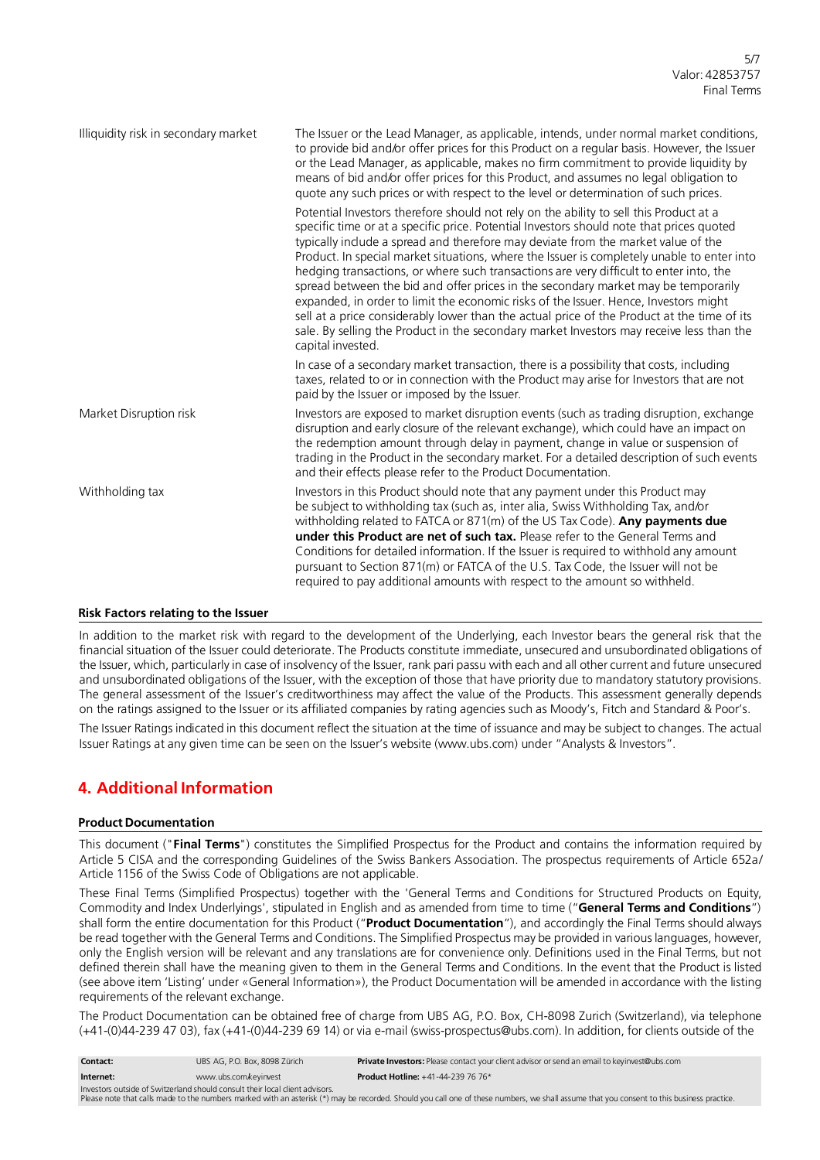| Illiquidity risk in secondary market | The Issuer or the Lead Manager, as applicable, intends, under normal market conditions,<br>to provide bid and/or offer prices for this Product on a regular basis. However, the Issuer<br>or the Lead Manager, as applicable, makes no firm commitment to provide liquidity by<br>means of bid and/or offer prices for this Product, and assumes no legal obligation to<br>quote any such prices or with respect to the level or determination of such prices.                                                                                                                                                                                                                                                                                                                                                                                               |
|--------------------------------------|--------------------------------------------------------------------------------------------------------------------------------------------------------------------------------------------------------------------------------------------------------------------------------------------------------------------------------------------------------------------------------------------------------------------------------------------------------------------------------------------------------------------------------------------------------------------------------------------------------------------------------------------------------------------------------------------------------------------------------------------------------------------------------------------------------------------------------------------------------------|
|                                      | Potential Investors therefore should not rely on the ability to sell this Product at a<br>specific time or at a specific price. Potential Investors should note that prices quoted<br>typically include a spread and therefore may deviate from the market value of the<br>Product. In special market situations, where the Issuer is completely unable to enter into<br>hedging transactions, or where such transactions are very difficult to enter into, the<br>spread between the bid and offer prices in the secondary market may be temporarily<br>expanded, in order to limit the economic risks of the Issuer. Hence, Investors might<br>sell at a price considerably lower than the actual price of the Product at the time of its<br>sale. By selling the Product in the secondary market Investors may receive less than the<br>capital invested. |
|                                      | In case of a secondary market transaction, there is a possibility that costs, including<br>taxes, related to or in connection with the Product may arise for Investors that are not<br>paid by the Issuer or imposed by the Issuer.                                                                                                                                                                                                                                                                                                                                                                                                                                                                                                                                                                                                                          |
| Market Disruption risk               | Investors are exposed to market disruption events (such as trading disruption, exchange<br>disruption and early closure of the relevant exchange), which could have an impact on<br>the redemption amount through delay in payment, change in value or suspension of<br>trading in the Product in the secondary market. For a detailed description of such events<br>and their effects please refer to the Product Documentation.                                                                                                                                                                                                                                                                                                                                                                                                                            |
| Withholding tax                      | Investors in this Product should note that any payment under this Product may<br>be subject to withholding tax (such as, inter alia, Swiss Withholding Tax, and/or<br>withholding related to FATCA or $871(m)$ of the US Tax Code). Any payments due<br><b>under this Product are net of such tax.</b> Please refer to the General Terms and<br>Conditions for detailed information. If the Issuer is required to withhold any amount<br>pursuant to Section 871(m) or FATCA of the U.S. Tax Code, the Issuer will not be<br>required to pay additional amounts with respect to the amount so withheld.                                                                                                                                                                                                                                                      |

#### **Risk Factors relating to the Issuer**

In addition to the market risk with regard to the development of the Underlying, each Investor bears the general risk that the financial situation of the Issuer could deteriorate. The Products constitute immediate, unsecured and unsubordinated obligations of the Issuer, which, particularly in case of insolvency of the Issuer, rank pari passu with each and all other current and future unsecured and unsubordinated obligations of the Issuer, with the exception of those that have priority due to mandatory statutory provisions. The general assessment of the Issuer's creditworthiness may affect the value of the Products. This assessment generally depends on the ratings assigned to the Issuer or its affiliated companies by rating agencies such as Moody's, Fitch and Standard & Poor's.

The Issuer Ratings indicated in this document reflect the situation at the time of issuance and may be subject to changes. The actual Issuer Ratings at any given time can be seen on the Issuer's website (www.ubs.com) under "Analysts & Investors".

## **4. Additional Information**

## **Product Documentation**

This document ("**Final Terms**") constitutes the Simplified Prospectus for the Product and contains the information required by Article 5 CISA and the corresponding Guidelines of the Swiss Bankers Association. The prospectus requirements of Article 652a/ Article 1156 of the Swiss Code of Obligations are not applicable.

These Final Terms (Simplified Prospectus) together with the 'General Terms and Conditions for Structured Products on Equity, Commodity and Index Underlyings', stipulated in English and as amended from time to time ("**General Terms and Conditions**") shall form the entire documentation for this Product ("**Product Documentation**"), and accordingly the Final Terms should always be read together with the General Terms and Conditions. The Simplified Prospectus may be provided in various languages, however, only the English version will be relevant and any translations are for convenience only. Definitions used in the Final Terms, but not defined therein shall have the meaning given to them in the General Terms and Conditions. In the event that the Product is listed (see above item 'Listing' under «General Information»), the Product Documentation will be amended in accordance with the listing requirements of the relevant exchange.

The Product Documentation can be obtained free of charge from UBS AG, P.O. Box, CH-8098 Zurich (Switzerland), via telephone (+41-(0)44-239 47 03), fax (+41-(0)44-239 69 14) or via e-mail (swiss-prospectus@ubs.com). In addition, for clients outside of the

| Contact:  | UBS AG. P.O. Box, 8098 Zürich | Private Investors: Please contact your client advisor or send an email to keyinvest@ubs.com |
|-----------|-------------------------------|---------------------------------------------------------------------------------------------|
| Internet: | www.ubs.com.keyinvest         | <b>Product Hotline:</b> $+41-44-239$ 76 76*                                                 |

Investors outside of Switzerland should consult their local client advisors.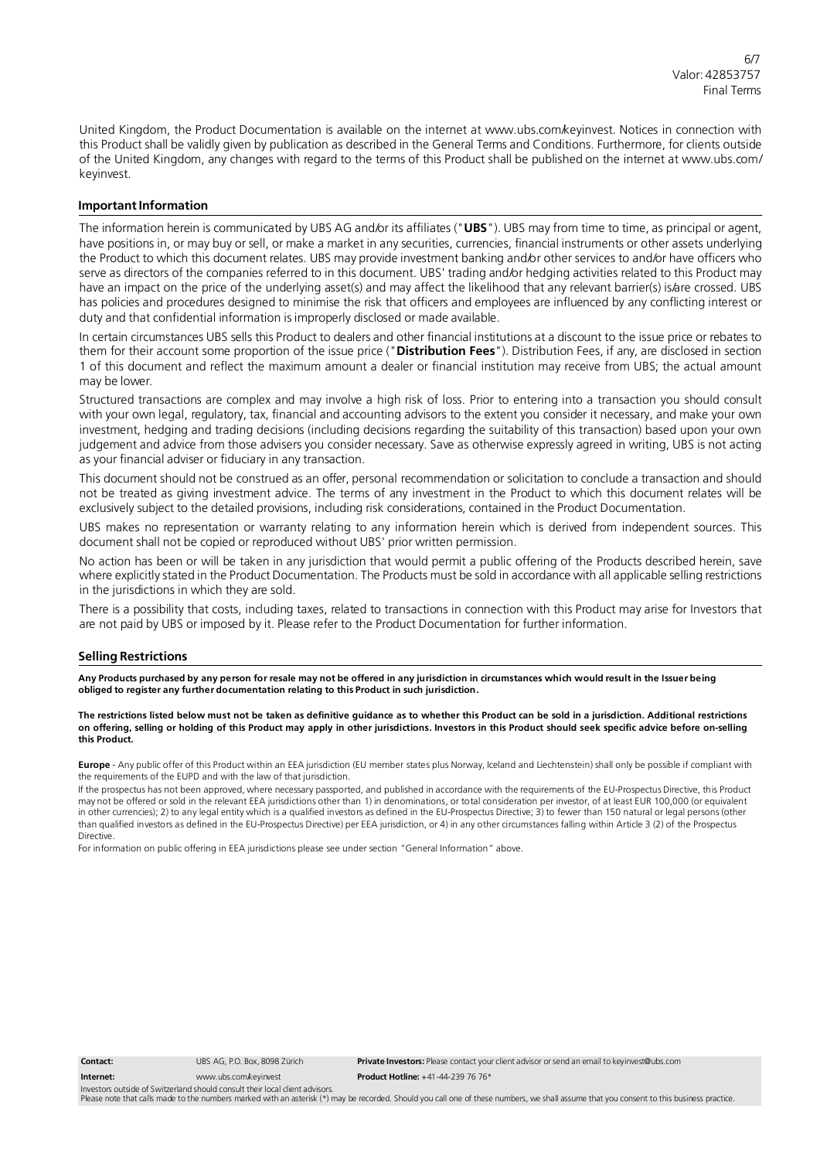United Kingdom, the Product Documentation is available on the internet at [www.ubs.com/keyinvest.](http://www.ubs.com/keyinvest) Notices in connection with this Product shall be validly given by publication as described in the General Terms and Conditions. Furthermore, for clients outside of the United Kingdom, any changes with regard to the terms of this Product shall be published on the internet at [www.ubs.com/](http://www.ubs.com/) keyinvest.

#### **Important Information**

The information herein is communicated by UBS AG and/or its affiliates ("**UBS**"). UBS may from time to time, as principal or agent, have positions in, or may buy or sell, or make a market in any securities, currencies, financial instruments or other assets underlying the Product to which this document relates. UBS may provide investment banking and/or other services to and/or have officers who serve as directors of the companies referred to in this document. UBS' trading and/or hedging activities related to this Product may have an impact on the price of the underlying asset(s) and may affect the likelihood that any relevant barrier(s) is/are crossed. UBS has policies and procedures designed to minimise the risk that officers and employees are influenced by any conflicting interest or duty and that confidential information is improperly disclosed or made available.

In certain circumstances UBS sells this Product to dealers and other financial institutions at a discount to the issue price or rebates to them for their account some proportion of the issue price ("**Distribution Fees**"). Distribution Fees, if any, are disclosed in section 1 of this document and reflect the maximum amount a dealer or financial institution may receive from UBS; the actual amount may be lower.

Structured transactions are complex and may involve a high risk of loss. Prior to entering into a transaction you should consult with your own legal, regulatory, tax, financial and accounting advisors to the extent you consider it necessary, and make your own investment, hedging and trading decisions (including decisions regarding the suitability of this transaction) based upon your own judgement and advice from those advisers you consider necessary. Save as otherwise expressly agreed in writing, UBS is not acting as your financial adviser or fiduciary in any transaction.

This document should not be construed as an offer, personal recommendation or solicitation to conclude a transaction and should not be treated as giving investment advice. The terms of any investment in the Product to which this document relates will be exclusively subject to the detailed provisions, including risk considerations, contained in the Product Documentation.

UBS makes no representation or warranty relating to any information herein which is derived from independent sources. This document shall not be copied or reproduced without UBS' prior written permission.

No action has been or will be taken in any jurisdiction that would permit a public offering of the Products described herein, save where explicitly stated in the Product Documentation. The Products must be sold in accordance with all applicable selling restrictions in the jurisdictions in which they are sold.

There is a possibility that costs, including taxes, related to transactions in connection with this Product may arise for Investors that are not paid by UBS or imposed by it. Please refer to the Product Documentation for further information.

#### **Selling Restrictions**

Any Products purchased by any person for resale may not be offered in any jurisdiction in circumstances which would result in the Issuer being **obliged to register any further documentation relating to this Product in such jurisdiction.**

The restrictions listed below must not be taken as definitive guidance as to whether this Product can be sold in a jurisdiction. Additional restrictions on offering, selling or holding of this Product may apply in other jurisdictions. Investors in this Product should seek specific advice before on-selling **this Product.**

**Europe** - Any public offer of this Product within an EEA jurisdiction (EU member states plus Norway, Iceland and Liechtenstein) shall only be possible if compliant with the requirements of the EUPD and with the law of that jurisdiction.

If the prospectus has not been approved, where necessary passported, and published in accordance with the requirements of the EU-Prospectus Directive, this Product may not be offered or sold in the relevant EEA jurisdictions other than 1) in denominations, or total consideration per investor, of at least EUR 100,000 (or equivalent in other currencies); 2) to any legal entity which is a qualified investors as defined in the EU-Prospectus Directive; 3) to fewer than 150 natural or legal persons (other than qualified investors as defined in the EU-Prospectus Directive) per EEA jurisdiction, or 4) in any other circumstances falling within Article 3 (2) of the Prospectus Directive.

For information on public offering in EEA jurisdictions please see under section "General Information" above.

**Contact: Internet:** UBS AG, P.O. Box, 8098 Zürich

**Private Investors:** Please contact your client advisor or send an email to [keyinvest@ubs.com](mailto:keyinvest@ubs.com) **Product Hotline:** +41-44-239 76 76\*

[www.ubs.com/keyinvest](http://www.ubs.com/keyinvest) Investors outside of Switzerland should consult their local client advisor